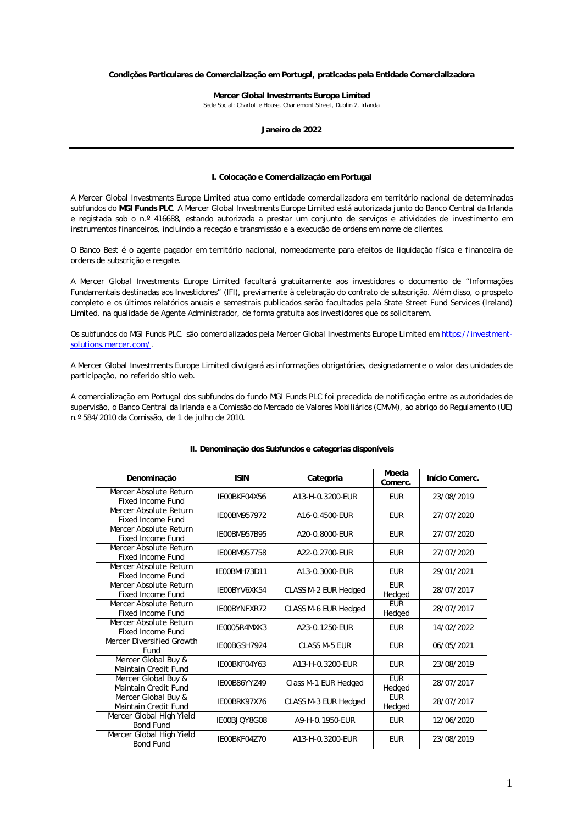### **Condições Particulares de Comercialização em Portugal, praticadas pela Entidade Comercializadora**

**Mercer Global Investments Europe Limited** 

Sede Social: Charlotte House, Charlemont Street, Dublin 2, Irlanda

## **Janeiro de 2022**

### **I. Colocação e Comercialização em Portugal**

A Mercer Global Investments Europe Limited atua como entidade comercializadora em território nacional de determinados subfundos do **MGI Funds PLC**. A Mercer Global Investments Europe Limited está autorizada junto do Banco Central da Irlanda e registada sob o n.º 416688, estando autorizada a prestar um conjunto de serviços e atividades de investimento em instrumentos financeiros, incluindo a receção e transmissão e a execução de ordens em nome de clientes.

O Banco Best é o agente pagador em território nacional, nomeadamente para efeitos de liquidação física e financeira de ordens de subscrição e resgate.

A Mercer Global Investments Europe Limited facultará gratuitamente aos investidores o documento de "Informações Fundamentais destinadas aos Investidores" (IFI), previamente à celebração do contrato de subscrição. Além disso, o prospeto completo e os últimos relatórios anuais e semestrais publicados serão facultados pela State Street Fund Services (Ireland) Limited, na qualidade de Agente Administrador, de forma gratuita aos investidores que os solicitarem.

Os subfundos do MGI Funds PLC. são comercializados pela Mercer Global Investments Europe Limited em [https://investment](https://investment-solutions.mercer.com/)[solutions.mercer.com/.](https://investment-solutions.mercer.com/)

A Mercer Global Investments Europe Limited divulgará as informações obrigatórias, designadamente o valor das unidades de participação, no referido sítio web.

A comercialização em Portugal dos subfundos do fundo MGI Funds PLC foi precedida de notificação entre as autoridades de supervisão, o Banco Central da Irlanda e a Comissão do Mercado de Valores Mobiliários (CMVM), ao abrigo do Regulamento (UE) n.º 584/2010 da Comissão, de 1 de julho de 2010.

| Denominação                                        | <b>ISIN</b>  | Categoria            | Moeda<br>Comerc.     | Início Comerc. |
|----------------------------------------------------|--------------|----------------------|----------------------|----------------|
| Mercer Absolute Return<br><b>Fixed Income Fund</b> | IE00BKF04X56 | A13-H-0.3200-EUR     | <b>EUR</b>           | 23/08/2019     |
| Mercer Absolute Return<br>Fixed Income Fund        | IE00BM957972 | A16-0.4500-EUR       | <b>EUR</b>           | 27/07/2020     |
| Mercer Absolute Return<br>Fixed Income Fund        | IE00BM957B95 | A20-0.8000-EUR       | <b>EUR</b>           | 27/07/2020     |
| Mercer Absolute Return<br>Fixed Income Fund        | IE00BM957758 | A22-0.2700-EUR       | <b>EUR</b>           | 27/07/2020     |
| Mercer Absolute Return<br><b>Fixed Income Fund</b> | IE00BMH73D11 | A13-0.3000-EUR       | <b>EUR</b>           | 29/01/2021     |
| Mercer Absolute Return<br>Fixed Income Fund        | IE00BYV6XK54 | CLASS M-2 EUR Hedged | <b>EUR</b><br>Hedged | 28/07/2017     |
| Mercer Absolute Return<br>Fixed Income Fund        | IE00BYNFXR72 | CLASS M-6 EUR Hedged | <b>EUR</b><br>Hedged | 28/07/2017     |
| Mercer Absolute Return<br>Fixed Income Fund        | IE0005R4MXK3 | A23-0.1250-EUR       | <b>EUR</b>           | 14/02/2022     |
| Mercer Diversified Growth<br>Fund                  | IE00BGSH7924 | CLASS M-5 EUR        | <b>EUR</b>           | 06/05/2021     |
| Mercer Global Buy &<br>Maintain Credit Fund        | IE00BKF04Y63 | A13-H-0.3200-EUR     | <b>EUR</b>           | 23/08/2019     |
| Mercer Global Buy &<br><b>Maintain Credit Fund</b> | IE00B86YYZ49 | Class M-1 EUR Hedged | <b>EUR</b><br>Hedged | 28/07/2017     |
| Mercer Global Buy &<br>Maintain Credit Fund        | IE00BRK97X76 | CLASS M-3 EUR Hedged | <b>EUR</b><br>Hedged | 28/07/2017     |
| Mercer Global High Yield<br><b>Bond Fund</b>       | IE00BJQY8G08 | A9-H-0.1950-EUR      | <b>EUR</b>           | 12/06/2020     |
| Mercer Global High Yield<br><b>Bond Fund</b>       | IE00BKF04Z70 | A13-H-0.3200-EUR     | <b>EUR</b>           | 23/08/2019     |

### **II. Denominação dos Subfundos e categorias disponíveis**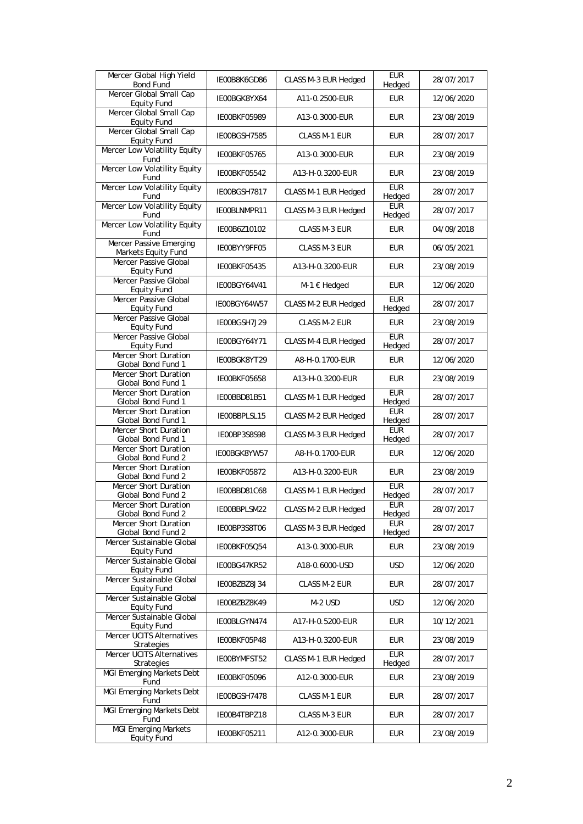| Mercer Global High Yield<br><b>Bond Fund</b>      | IE00B8K6GD86 | CLASS M-3 EUR Hedged | <b>EUR</b><br>Hedged | 28/07/2017 |
|---------------------------------------------------|--------------|----------------------|----------------------|------------|
| Mercer Global Small Cap<br><b>Equity Fund</b>     | IE00BGK8YX64 | A11-0.2500-EUR       | <b>EUR</b>           | 12/06/2020 |
| Mercer Global Small Cap<br><b>Equity Fund</b>     | IE00BKF05989 | A13-0.3000-EUR       | <b>EUR</b>           | 23/08/2019 |
| Mercer Global Small Cap<br><b>Equity Fund</b>     | IE00BGSH7585 | CLASS M-1 EUR        | <b>EUR</b>           | 28/07/2017 |
| Mercer Low Volatility Equity<br>Fund              | IE00BKF05765 | A13-0.3000-EUR       | <b>EUR</b>           | 23/08/2019 |
| Mercer Low Volatility Equity<br>Fund              | IE00BKF05542 | A13-H-0.3200-EUR     | <b>EUR</b>           | 23/08/2019 |
| Mercer Low Volatility Equity<br>Fund              | IE00BGSH7817 | CLASS M-1 EUR Hedged | <b>EUR</b><br>Hedged | 28/07/2017 |
| Mercer Low Volatility Equity<br>Fund              | IE00BLNMPR11 | CLASS M-3 EUR Hedged | EUR<br>Hedged        | 28/07/2017 |
| Mercer Low Volatility Equity<br>Fund              | IE00B6Z10102 | CLASS M-3 EUR        | <b>EUR</b>           | 04/09/2018 |
| Mercer Passive Emerging<br>Markets Equity Fund    | IE00BYY9FF05 | CLASS M-3 EUR        | <b>EUR</b>           | 06/05/2021 |
| Mercer Passive Global<br><b>Equity Fund</b>       | IE00BKF05435 | A13-H-0.3200-EUR     | <b>EUR</b>           | 23/08/2019 |
| Mercer Passive Global<br><b>Equity Fund</b>       | IE00BGY64V41 | M-1 € Hedged         | <b>EUR</b>           | 12/06/2020 |
| Mercer Passive Global<br><b>Equity Fund</b>       | IE00BGY64W57 | CLASS M-2 EUR Hedged | <b>EUR</b><br>Hedged | 28/07/2017 |
| Mercer Passive Global<br><b>Equity Fund</b>       | IE00BGSH7J29 | <b>CLASS M-2 EUR</b> | <b>EUR</b>           | 23/08/2019 |
| Mercer Passive Global<br><b>Equity Fund</b>       | IE00BGY64Y71 | CLASS M-4 EUR Hedged | EUR<br>Hedged        | 28/07/2017 |
| Mercer Short Duration<br>Global Bond Fund 1       | IE00BGK8YT29 | A8-H-0.1700-EUR      | <b>EUR</b>           | 12/06/2020 |
| Mercer Short Duration<br>Global Bond Fund 1       | IE00BKF05658 | A13-H-0.3200-EUR     | <b>EUR</b>           | 23/08/2019 |
| Mercer Short Duration<br>Global Bond Fund 1       | IE00BBD81B51 | CLASS M-1 EUR Hedged | <b>EUR</b><br>Hedged | 28/07/2017 |
| Mercer Short Duration<br>Global Bond Fund 1       | IE00BBPLSL15 | CLASS M-2 EUR Hedged | <b>EUR</b><br>Hedged | 28/07/2017 |
| Mercer Short Duration<br>Global Bond Fund 1       | IE00BP3S8S98 | CLASS M-3 EUR Hedged | <b>EUR</b><br>Hedged | 28/07/2017 |
| Mercer Short Duration<br>Global Bond Fund 2       | IE00BGK8YW57 | A8-H-0.1700-EUR      | <b>EUR</b>           | 12/06/2020 |
| Mercer Short Duration<br>Global Bond Fund 2       | IE00BKF05872 | A13-H-0.3200-EUR     | <b>EUR</b>           | 23/08/2019 |
| Mercer Short Duration<br>Global Bond Fund 2       | IE00BBD81C68 | CLASS M-1 EUR Hedged | <b>EUR</b><br>Hedged | 28/07/2017 |
| Mercer Short Duration<br>Global Bond Fund 2       | IE00BBPLSM22 | CLASS M-2 EUR Hedged | <b>EUR</b><br>Hedged | 28/07/2017 |
| Mercer Short Duration<br>Global Bond Fund 2       | IE00BP3S8T06 | CLASS M-3 EUR Hedged | <b>EUR</b><br>Hedged | 28/07/2017 |
| Mercer Sustainable Global<br><b>Equity Fund</b>   | IE00BKF05Q54 | A13-0.3000-EUR       | <b>EUR</b>           | 23/08/2019 |
| Mercer Sustainable Global<br><b>Equity Fund</b>   | IE00BG47KR52 | A18-0.6000-USD       | <b>USD</b>           | 12/06/2020 |
| Mercer Sustainable Global<br>Equity Fund          | IE00BZBZ8J34 | <b>CLASS M-2 EUR</b> | <b>EUR</b>           | 28/07/2017 |
| Mercer Sustainable Global<br><b>Equity Fund</b>   | IE00BZBZ8K49 | M-2 USD              | <b>USD</b>           | 12/06/2020 |
| Mercer Sustainable Global<br><b>Equity Fund</b>   | IE00BLGYN474 | A17-H-0.5200-EUR     | <b>EUR</b>           | 10/12/2021 |
| <b>Mercer UCITS Alternatives</b><br>Strategies    | IE00BKF05P48 | A13-H-0.3200-EUR     | <b>EUR</b>           | 23/08/2019 |
| Mercer UCITS Alternatives<br>Strategies           | IE00BYMFST52 | CLASS M-1 EUR Hedged | <b>EUR</b><br>Hedged | 28/07/2017 |
| MGI Emerging Markets Debt<br>Fund                 | IE00BKF05096 | A12-0.3000-EUR       | <b>EUR</b>           | 23/08/2019 |
| <b>MGI Emerging Markets Debt</b><br>Fund          | IE00BGSH7478 | CLASS M-1 EUR        | <b>EUR</b>           | 28/07/2017 |
| MGI Emerging Markets Debt<br>Fund                 | IE00B4TBPZ18 | CLASS M-3 EUR        | <b>EUR</b>           | 28/07/2017 |
| <b>MGI Emerging Markets</b><br><b>Equity Fund</b> | IE00BKF05211 | A12-0.3000-EUR       | <b>EUR</b>           | 23/08/2019 |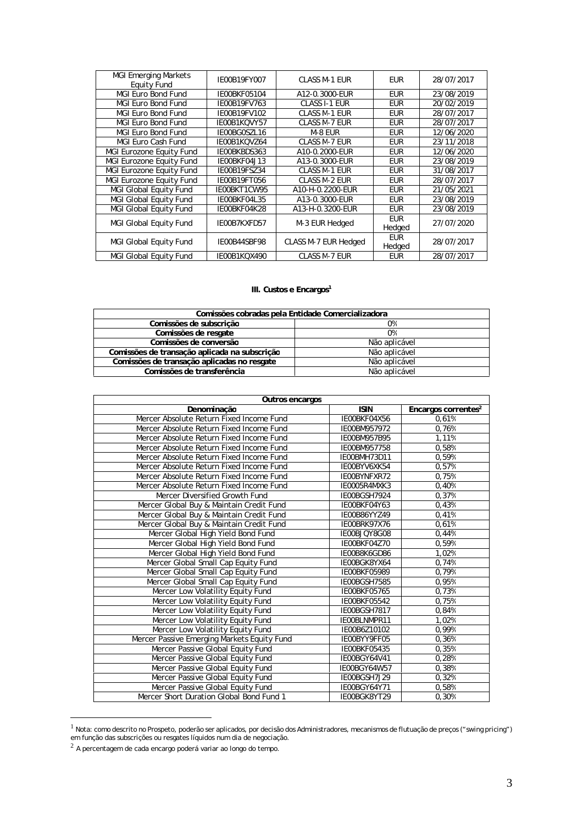| <b>MGI Emerging Markets</b><br><b>Equity Fund</b> | IE00B19FY007 | CLASS M-1 EUR        | <b>EUR</b>           | 28/07/2017 |
|---------------------------------------------------|--------------|----------------------|----------------------|------------|
| <b>MGI Euro Bond Fund</b>                         | IE00BKF05104 | A12-0.3000-EUR       | <b>EUR</b>           | 23/08/2019 |
| <b>MGI Euro Bond Fund</b>                         | IE00B19FV763 | <b>CLASS I-1 EUR</b> | <b>EUR</b>           | 20/02/2019 |
| <b>MGI Euro Bond Fund</b>                         | IE00B19FV102 | <b>CLASS M-1 EUR</b> | <b>EUR</b>           | 28/07/2017 |
| <b>MGI Euro Bond Fund</b>                         | IE00B1KQVY57 | CLASS M-7 EUR        | <b>EUR</b>           | 28/07/2017 |
| MGI Euro Bond Fund                                | IE00BG0SZL16 | M-8 EUR              | <b>EUR</b>           | 12/06/2020 |
| MGI Euro Cash Fund                                | IE00B1KQVZ64 | <b>CLASS M-7 EUR</b> | <b>EUR</b>           | 23/11/2018 |
| MGI Eurozone Equity Fund                          | IE00BKBDS363 | A10-0.2000-EUR       | <b>EUR</b>           | 12/06/2020 |
| MGI Eurozone Equity Fund                          | IE00BKF04J13 | A13-0.3000-EUR       | <b>EUR</b>           | 23/08/2019 |
| MGI Eurozone Equity Fund                          | IE00B19FSZ34 | <b>CLASS M-1 EUR</b> | <b>EUR</b>           | 31/08/2017 |
| MGI Eurozone Equity Fund                          | IE00B19FT056 | <b>CLASS M-2 EUR</b> | <b>EUR</b>           | 28/07/2017 |
| <b>MGI Global Equity Fund</b>                     | IE00BKT1CW95 | A10-H-0.2200-EUR     | <b>EUR</b>           | 21/05/2021 |
| MGI Global Equity Fund                            | IE00BKF04L35 | A13-0.3000-EUR       | <b>EUR</b>           | 23/08/2019 |
| MGI Global Equity Fund                            | IE00BKF04K28 | A13-H-0.3200-EUR     | <b>EUR</b>           | 23/08/2019 |
| MGI Global Equity Fund                            | IE00B7KXFD57 | M-3 EUR Hedged       | <b>EUR</b><br>Hedged | 27/07/2020 |
| MGI Global Equity Fund                            | IE00B44SBF98 | CLASS M-7 EUR Hedged | <b>EUR</b><br>Hedged | 28/07/2017 |
| <b>MGI Global Equity Fund</b>                     | IE00B1KQX490 | <b>CLASS M-7 EUR</b> | <b>EUR</b>           | 28/07/2017 |

# **III. Custos e Encargos<sup>1</sup>**

| Comissões cobradas pela Entidade Comercializadora |               |  |  |
|---------------------------------------------------|---------------|--|--|
| Comissões de subscrição                           | 0%            |  |  |
| Comissões de resgate                              | 0%            |  |  |
| Comissões de conversão                            | Não aplicável |  |  |
| Comissões de transação aplicada na subscrição     | Não aplicável |  |  |
| Comissões de transação aplicadas no resgate       | Não aplicável |  |  |
| Comissões de transferência                        | Não aplicável |  |  |

| Outros encargos                             |              |                                 |  |  |
|---------------------------------------------|--------------|---------------------------------|--|--|
| Denominação                                 | <b>ISIN</b>  | Encargos correntes <sup>2</sup> |  |  |
| Mercer Absolute Return Fixed Income Fund    | IE00BKF04X56 | 0,61%                           |  |  |
| Mercer Absolute Return Fixed Income Fund    | IE00BM957972 | 0.76%                           |  |  |
| Mercer Absolute Return Fixed Income Fund    | IE00BM957B95 | 1,11%                           |  |  |
| Mercer Absolute Return Fixed Income Fund    | IE00BM957758 | 0,58%                           |  |  |
| Mercer Absolute Return Fixed Income Fund    | IE00BMH73D11 | 0,59%                           |  |  |
| Mercer Absolute Return Fixed Income Fund    | IE00BYV6XK54 | 0,57%                           |  |  |
| Mercer Absolute Return Fixed Income Fund    | IE00BYNFXR72 | 0,75%                           |  |  |
| Mercer Absolute Return Fixed Income Fund    | IE0005R4MXK3 | 0,40%                           |  |  |
| Mercer Diversified Growth Fund              | IE00BGSH7924 | 0,37%                           |  |  |
| Mercer Global Buy & Maintain Credit Fund    | IE00BKF04Y63 | 0,43%                           |  |  |
| Mercer Global Buy & Maintain Credit Fund    | IE00B86YYZ49 | 0,41%                           |  |  |
| Mercer Global Buy & Maintain Credit Fund    | IE00BRK97X76 | 0,61%                           |  |  |
| Mercer Global High Yield Bond Fund          | IE00BJQY8G08 | 0,44%                           |  |  |
| Mercer Global High Yield Bond Fund          | IE00BKF04Z70 | 0,59%                           |  |  |
| Mercer Global High Yield Bond Fund          | IE00B8K6GD86 | 1,02%                           |  |  |
| Mercer Global Small Cap Equity Fund         | IE00BGK8YX64 | 0,74%                           |  |  |
| Mercer Global Small Cap Equity Fund         | IE00BKF05989 | 0,79%                           |  |  |
| Mercer Global Small Cap Equity Fund         | IE00BGSH7585 | 0,95%                           |  |  |
| Mercer Low Volatility Equity Fund           | IE00BKF05765 | 0,73%                           |  |  |
| Mercer Low Volatility Equity Fund           | IE00BKF05542 | 0,75%                           |  |  |
| Mercer Low Volatility Equity Fund           | IE00BGSH7817 | 0,84%                           |  |  |
| Mercer Low Volatility Equity Fund           | IE00BLNMPR11 | 1,02%                           |  |  |
| Mercer Low Volatility Equity Fund           | IE00B6Z10102 | 0,99%                           |  |  |
| Mercer Passive Emerging Markets Equity Fund | IE00BYY9FF05 | 0,36%                           |  |  |
| Mercer Passive Global Equity Fund           | IE00BKF05435 | 0,35%                           |  |  |
| Mercer Passive Global Equity Fund           | IE00BGY64V41 | 0,28%                           |  |  |
| Mercer Passive Global Equity Fund           | IE00BGY64W57 | 0,38%                           |  |  |
| Mercer Passive Global Equity Fund           | IE00BGSH7J29 | 0,32%                           |  |  |
| Mercer Passive Global Equity Fund           | IE00BGY64Y71 | 0,58%                           |  |  |
| Mercer Short Duration Global Bond Fund 1    | IE00BGK8YT29 | 0,30%                           |  |  |

<sup>1</sup> Nota: como descrito no Prospeto, poderão ser aplicados, por decisão dos Administradores, mecanismos de flutuação de preços ("*swing pricing*") em função das subscrições ou resgates líquidos num dia de negociação.<br><sup>2</sup> A percentagem de cada encargo poderá variar ao longo do tempo.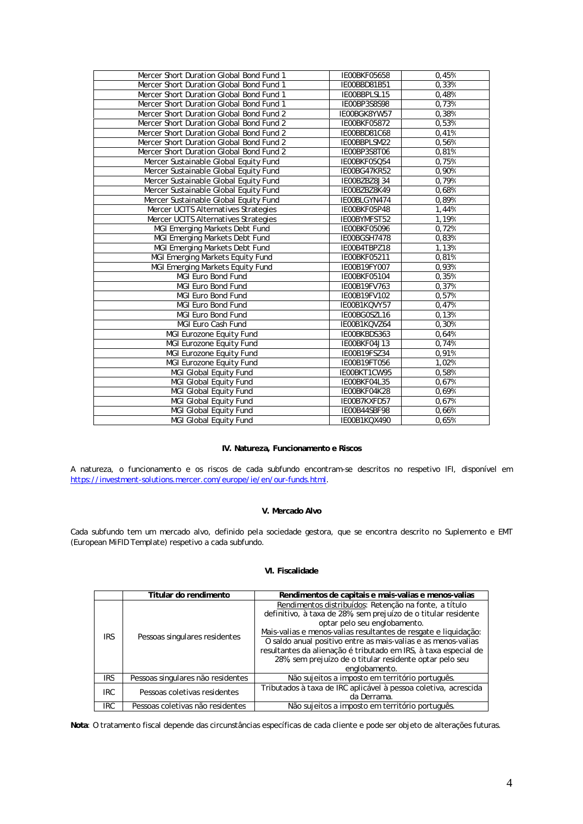| Mercer Short Duration Global Bond Fund 1 | IE00BKF05658 | 0,45% |
|------------------------------------------|--------------|-------|
| Mercer Short Duration Global Bond Fund 1 | IE00BBD81B51 | 0,33% |
| Mercer Short Duration Global Bond Fund 1 | IE00BBPLSL15 | 0,48% |
| Mercer Short Duration Global Bond Fund 1 | IE00BP3S8S98 | 0,73% |
| Mercer Short Duration Global Bond Fund 2 | IE00BGK8YW57 | 0,38% |
| Mercer Short Duration Global Bond Fund 2 | IE00BKF05872 | 0,53% |
| Mercer Short Duration Global Bond Fund 2 | IE00BBD81C68 | 0,41% |
| Mercer Short Duration Global Bond Fund 2 | IE00BBPLSM22 | 0,56% |
| Mercer Short Duration Global Bond Fund 2 | IE00BP3S8T06 | 0,81% |
| Mercer Sustainable Global Equity Fund    | IE00BKF05Q54 | 0,75% |
| Mercer Sustainable Global Equity Fund    | IE00BG47KR52 | 0,90% |
| Mercer Sustainable Global Equity Fund    | IE00BZBZ8J34 | 0,79% |
| Mercer Sustainable Global Equity Fund    | IE00BZBZ8K49 | 0,68% |
| Mercer Sustainable Global Equity Fund    | IE00BLGYN474 | 0,89% |
| Mercer UCITS Alternatives Strategies     | IE00BKF05P48 | 1,44% |
| Mercer UCITS Alternatives Strategies     | IE00BYMFST52 | 1,19% |
| MGI Emerging Markets Debt Fund           | IE00BKF05096 | 0,72% |
| MGI Emerging Markets Debt Fund           | IE00BGSH7478 | 0,83% |
| MGI Emerging Markets Debt Fund           | IE00B4TBPZ18 | 1,13% |
| MGI Emerging Markets Equity Fund         | IE00BKF05211 | 0,81% |
| MGI Emerging Markets Equity Fund         | IE00B19FY007 | 0,93% |
| MGI Euro Bond Fund                       | IE00BKF05104 | 0,35% |
| MGI Euro Bond Fund                       | IE00B19FV763 | 0,37% |
| <b>MGI Euro Bond Fund</b>                | IE00B19FV102 | 0,57% |
| MGI Euro Bond Fund                       | IE00B1KQVY57 | 0,47% |
| MGI Euro Bond Fund                       | IE00BG0SZL16 | 0,13% |
| MGI Euro Cash Fund                       | IE00B1KQVZ64 | 0,30% |
| MGI Eurozone Equity Fund                 | IE00BKBDS363 | 0,64% |
| MGI Eurozone Equity Fund                 | IE00BKF04J13 | 0,74% |
| MGI Eurozone Equity Fund                 | IE00B19FSZ34 | 0,91% |
| MGI Eurozone Equity Fund                 | IE00B19FT056 | 1,02% |
| MGI Global Equity Fund                   | IE00BKT1CW95 | 0,58% |
| MGI Global Equity Fund                   | IE00BKF04L35 | 0,67% |
| MGI Global Equity Fund                   | IE00BKF04K28 | 0,69% |
| MGI Global Equity Fund                   | IE00B7KXFD57 | 0,67% |
| MGI Global Equity Fund                   | IE00B44SBF98 | 0,66% |
| MGI Global Equity Fund                   | IE00B1KQX490 | 0,65% |

# **IV. Natureza, Funcionamento e Riscos**

A natureza, o funcionamento e os riscos de cada subfundo encontram-se descritos no respetivo IFI, disponível em [https://investment-solutions.mercer.com/europe/ie/en/our-funds.html.](https://urldefense.com/v3/__https:/investment-solutions.mercer.com/europe/ie/en/our-funds.html__;!!F0BwWNrp9Us!fxECBN_tFpAmAy7YtvAovMZlmHG3aaWmyhUDZFY1DDr5v7wxXgsBE8pQWn9O5LtQgdo$)

## **V. Mercado Alvo**

Cada subfundo tem um mercado alvo, definido pela sociedade gestora, que se encontra descrito no Suplemento e EMT (*European MiFID Template*) respetivo a cada subfundo.

# **VI. Fiscalidade**

|            | Titular do rendimento             | Rendimentos de capitais e mais-valias e menos-valias                                                                                                                                                                                                                                                                                                                                                                                       |
|------------|-----------------------------------|--------------------------------------------------------------------------------------------------------------------------------------------------------------------------------------------------------------------------------------------------------------------------------------------------------------------------------------------------------------------------------------------------------------------------------------------|
| <b>IRS</b> | Pessoas singulares residentes     | Rendimentos distribuídos: Retenção na fonte, a título<br>definitivo, à taxa de 28%, sem prejuízo de o titular residente<br>optar pelo seu englobamento.<br>Mais-valias e menos-valias resultantes de resgate e liquidação:<br>O saldo anual positivo entre as mais-valias e as menos-valias<br>resultantes da alienação é tributado em IRS, à taxa especial de<br>28%, sem prejuízo de o titular residente optar pelo seu<br>englobamento. |
| <b>IRS</b> | Pessoas singulares não residentes | Não sujeitos a imposto em território português.                                                                                                                                                                                                                                                                                                                                                                                            |
| <b>IRC</b> | Pessoas coletivas residentes      | Tributados à taxa de IRC aplicável à pessoa coletiva, acrescida<br>da Derrama.                                                                                                                                                                                                                                                                                                                                                             |
| <b>IRC</b> | Pessoas coletivas não residentes  | Não sujeitos a imposto em território português.                                                                                                                                                                                                                                                                                                                                                                                            |

**Nota**: O tratamento fiscal depende das circunstâncias específicas de cada cliente e pode ser objeto de alterações futuras.